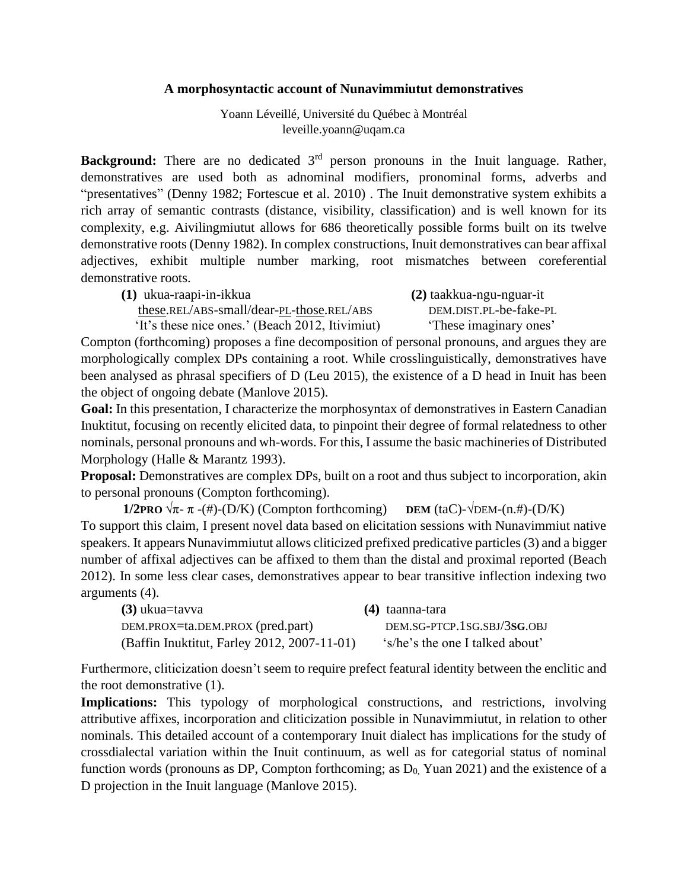## **A morphosyntactic account of Nunavimmiutut demonstratives**

Yoann Léveillé, Université du Québec à Montréal leveille.yoann@uqam.ca

**Background:** There are no dedicated 3<sup>rd</sup> person pronouns in the Inuit language. Rather, demonstratives are used both as adnominal modifiers, pronominal forms, adverbs and "presentatives" (Denny 1982; Fortescue et al. 2010) . The Inuit demonstrative system exhibits a rich array of semantic contrasts (distance, visibility, classification) and is well known for its complexity, e.g. Aivilingmiutut allows for 686 theoretically possible forms built on its twelve demonstrative roots (Denny 1982). In complex constructions, Inuit demonstratives can bear affixal adjectives, exhibit multiple number marking, root mismatches between coreferential demonstrative roots.

**(1)** ukua-raapi-in-ikkua **(2)** taakkua-ngu-nguar-it these.REL/ABS-small/dear-PL-those.REL/ABS DEM.DIST.PL-be-fake-PL

'It's these nice ones.' (Beach 2012, Itivimiut) 'These imaginary ones'

Compton (forthcoming) proposes a fine decomposition of personal pronouns, and argues they are morphologically complex DPs containing a root. While crosslinguistically, demonstratives have been analysed as phrasal specifiers of D (Leu 2015), the existence of a D head in Inuit has been the object of ongoing debate (Manlove 2015).

**Goal:** In this presentation, I characterize the morphosyntax of demonstratives in Eastern Canadian Inuktitut, focusing on recently elicited data, to pinpoint their degree of formal relatedness to other nominals, personal pronouns and wh-words. For this, I assume the basic machineries of Distributed Morphology (Halle & Marantz 1993).

**Proposal:** Demonstratives are complex DPs, built on a root and thus subject to incorporation, akin to personal pronouns (Compton forthcoming).

**1/2PRO**  $\sqrt{\pi}$ - $\pi$ -(#)-(D/K) (Compton forthcoming) **DEM** (taC)- $\sqrt{\text{DEM}-(n, \#)-(D/K)}$ To support this claim, I present novel data based on elicitation sessions with Nunavimmiut native speakers. It appears Nunavimmiutut allows cliticized prefixed predicative particles (3) and a bigger number of affixal adjectives can be affixed to them than the distal and proximal reported (Beach 2012). In some less clear cases, demonstratives appear to bear transitive inflection indexing two arguments (4).

| $(3)$ ukua=tavva                            | $(4)$ taanna-tara               |
|---------------------------------------------|---------------------------------|
| DEM.PROX=ta.DEM.PROX (pred.part)            | DEM.SG-PTCP.1SG.SBJ/3SG.OBJ     |
| (Baffin Inuktitut, Farley 2012, 2007-11-01) | 's/he's the one I talked about' |

Furthermore, cliticization doesn't seem to require prefect featural identity between the enclitic and the root demonstrative (1).

**Implications:** This typology of morphological constructions, and restrictions, involving attributive affixes, incorporation and cliticization possible in Nunavimmiutut, in relation to other nominals. This detailed account of a contemporary Inuit dialect has implications for the study of crossdialectal variation within the Inuit continuum, as well as for categorial status of nominal function words (pronouns as DP, Compton forthcoming; as  $D_0$ , Yuan 2021) and the existence of a D projection in the Inuit language (Manlove 2015).